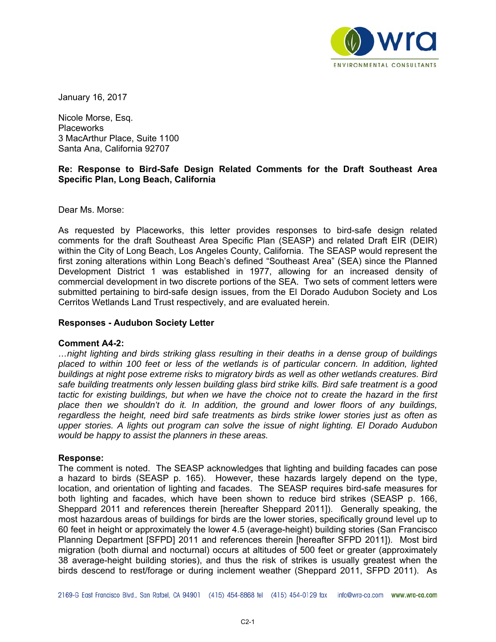

January 16, 2017

Nicole Morse, Esq. **Placeworks** 3 MacArthur Place, Suite 1100 Santa Ana, California 92707

## **Re: Response to Bird-Safe Design Related Comments for the Draft Southeast Area Specific Plan, Long Beach, California**

Dear Ms. Morse:

As requested by Placeworks, this letter provides responses to bird-safe design related comments for the draft Southeast Area Specific Plan (SEASP) and related Draft EIR (DEIR) within the City of Long Beach, Los Angeles County, California. The SEASP would represent the first zoning alterations within Long Beach's defined "Southeast Area" (SEA) since the Planned Development District 1 was established in 1977, allowing for an increased density of commercial development in two discrete portions of the SEA. Two sets of comment letters were submitted pertaining to bird-safe design issues, from the El Dorado Audubon Society and Los Cerritos Wetlands Land Trust respectively, and are evaluated herein.

#### **Responses - Audubon Society Letter**

#### **Comment A4-2:**

*…night lighting and birds striking glass resulting in their deaths in a dense group of buildings placed to within 100 feet or less of the wetlands is of particular concern. In addition, lighted buildings at night pose extreme risks to migratory birds as well as other wetlands creatures. Bird safe building treatments only lessen building glass bird strike kills. Bird safe treatment is a good tactic for existing buildings, but when we have the choice not to create the hazard in the first place then we shouldn't do it. In addition, the ground and lower floors of any buildings, regardless the height, need bird safe treatments as birds strike lower stories just as often as upper stories. A lights out program can solve the issue of night lighting. El Dorado Audubon would be happy to assist the planners in these areas.* 

#### **Response:**

The comment is noted. The SEASP acknowledges that lighting and building facades can pose a hazard to birds (SEASP p. 165). However, these hazards largely depend on the type, location, and orientation of lighting and facades. The SEASP requires bird-safe measures for both lighting and facades, which have been shown to reduce bird strikes (SEASP p. 166, Sheppard 2011 and references therein [hereafter Sheppard 2011]). Generally speaking, the most hazardous areas of buildings for birds are the lower stories, specifically ground level up to 60 feet in height or approximately the lower 4.5 (average-height) building stories (San Francisco Planning Department [SFPD] 2011 and references therein [hereafter SFPD 2011]). Most bird migration (both diurnal and nocturnal) occurs at altitudes of 500 feet or greater (approximately 38 average-height building stories), and thus the risk of strikes is usually greatest when the birds descend to rest/forage or during inclement weather (Sheppard 2011, SFPD 2011). As

2169-G East Francisco Blvd., San Rafael, CA 94901 (415) 454-8868 tel (415) 454-0129 fax info@wra-ca.com www.wra-ca.com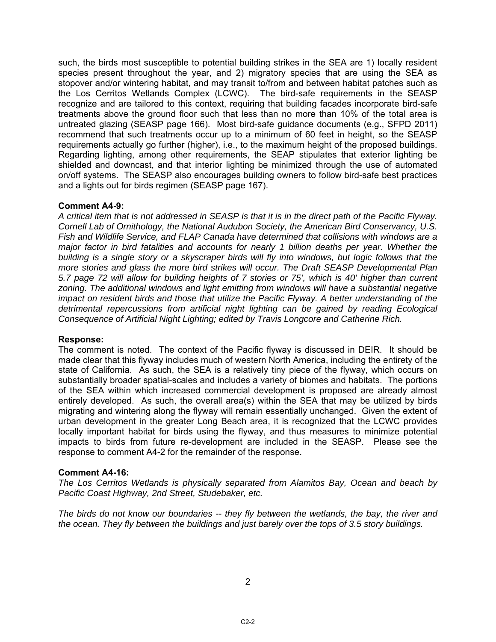such, the birds most susceptible to potential building strikes in the SEA are 1) locally resident species present throughout the year, and 2) migratory species that are using the SEA as stopover and/or wintering habitat, and may transit to/from and between habitat patches such as the Los Cerritos Wetlands Complex (LCWC). The bird-safe requirements in the SEASP recognize and are tailored to this context, requiring that building facades incorporate bird-safe treatments above the ground floor such that less than no more than 10% of the total area is untreated glazing (SEASP page 166). Most bird-safe guidance documents (e.g., SFPD 2011) recommend that such treatments occur up to a minimum of 60 feet in height, so the SEASP requirements actually go further (higher), i.e., to the maximum height of the proposed buildings. Regarding lighting, among other requirements, the SEAP stipulates that exterior lighting be shielded and downcast, and that interior lighting be minimized through the use of automated on/off systems. The SEASP also encourages building owners to follow bird-safe best practices and a lights out for birds regimen (SEASP page 167).

## **Comment A4-9:**

*A critical item that is not addressed in SEASP is that it is in the direct path of the Pacific Flyway. Cornell Lab of Ornithology, the National Audubon Society, the American Bird Conservancy, U.S. Fish and Wildlife Service, and FLAP Canada have determined that collisions with windows are a major factor in bird fatalities and accounts for nearly 1 billion deaths per year. Whether the building is a single story or a skyscraper birds will fly into windows, but logic follows that the more stories and glass the more bird strikes will occur. The Draft SEASP Developmental Plan 5.7 page 72 will allow for building heights of 7 stories or 75', which is 40' higher than current zoning. The additional windows and light emitting from windows will have a substantial negative impact on resident birds and those that utilize the Pacific Flyway. A better understanding of the detrimental repercussions from artificial night lighting can be gained by reading Ecological Consequence of Artificial Night Lighting; edited by Travis Longcore and Catherine Rich.*

### **Response:**

The comment is noted. The context of the Pacific flyway is discussed in DEIR. It should be made clear that this flyway includes much of western North America, including the entirety of the state of California. As such, the SEA is a relatively tiny piece of the flyway, which occurs on substantially broader spatial-scales and includes a variety of biomes and habitats. The portions of the SEA within which increased commercial development is proposed are already almost entirely developed. As such, the overall area(s) within the SEA that may be utilized by birds migrating and wintering along the flyway will remain essentially unchanged. Given the extent of urban development in the greater Long Beach area, it is recognized that the LCWC provides locally important habitat for birds using the flyway, and thus measures to minimize potential impacts to birds from future re-development are included in the SEASP. Please see the response to comment A4-2 for the remainder of the response.

# **Comment A4-16:**

*The Los Cerritos Wetlands is physically separated from Alamitos Bay, Ocean and beach by Pacific Coast Highway, 2nd Street, Studebaker, etc.* 

*The birds do not know our boundaries -- they fly between the wetlands, the bay, the river and the ocean. They fly between the buildings and just barely over the tops of 3.5 story buildings.*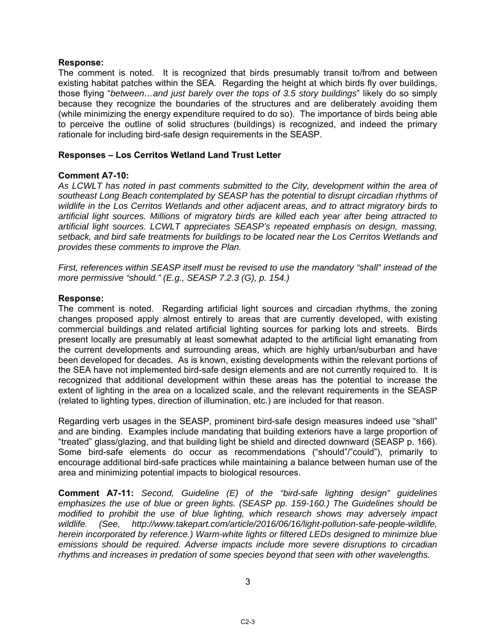### **Response:**

The comment is noted. It is recognized that birds presumably transit to/from and between existing habitat patches within the SEA. Regarding the height at which birds fly over buildings, those flying "*between…and just barely over the tops of 3.5 story buildings*" likely do so simply because they recognize the boundaries of the structures and are deliberately avoiding them (while minimizing the energy expenditure required to do so). The importance of birds being able to perceive the outline of solid structures (buildings) is recognized, and indeed the primary rationale for including bird-safe design requirements in the SEASP.

## **Responses – Los Cerritos Wetland Land Trust Letter**

## **Comment A7-10:**

*As LCWLT has noted in past comments submitted to the City, development within the area of southeast Long Beach contemplated by SEASP has the potential to disrupt circadian rhythms of wildlife in the Los Cerritos Wetlands and other adjacent areas, and to attract migratory birds to artificial light sources. Millions of migratory birds are killed each year after being attracted to artificial light sources. LCWLT appreciates SEASP's repeated emphasis on design, massing, setback, and bird safe treatments for buildings to be located near the Los Cerritos Wetlands and provides these comments to improve the Plan.* 

*First, references within SEASP itself must be revised to use the mandatory "shall" instead of the more permissive "should." (E.g., SEASP 7.2.3 (G), p. 154.)* 

### **Response:**

The comment is noted. Regarding artificial light sources and circadian rhythms, the zoning changes proposed apply almost entirely to areas that are currently developed, with existing commercial buildings and related artificial lighting sources for parking lots and streets. Birds present locally are presumably at least somewhat adapted to the artificial light emanating from the current developments and surrounding areas, which are highly urban/suburban and have been developed for decades. As is known, existing developments within the relevant portions of the SEA have not implemented bird-safe design elements and are not currently required to. It is recognized that additional development within these areas has the potential to increase the extent of lighting in the area on a localized scale, and the relevant requirements in the SEASP (related to lighting types, direction of illumination, etc.) are included for that reason.

Regarding verb usages in the SEASP, prominent bird-safe design measures indeed use "shall" and are binding. Examples include mandating that building exteriors have a large proportion of "treated" glass/glazing, and that building light be shield and directed downward (SEASP p. 166). Some bird-safe elements do occur as recommendations ("should"/"could"), primarily to encourage additional bird-safe practices while maintaining a balance between human use of the area and minimizing potential impacts to biological resources.

**Comment A7-11:** *Second, Guideline (E) of the "bird-safe lighting design" guidelines emphasizes the use of blue or green lights. (SEASP pp. 159-160.) The Guidelines should be modified to prohibit the use of blue lighting, which research shows may adversely impact wildlife. (See, http://www.takepart.com/article/2016/06/16/light-pollution-safe-people-wildlife, herein incorporated by reference.) Warm-white lights or filtered LEDs designed to minimize blue emissions should be required. Adverse impacts include more severe disruptions to circadian rhythms and increases in predation of some species beyond that seen with other wavelengths.* 

3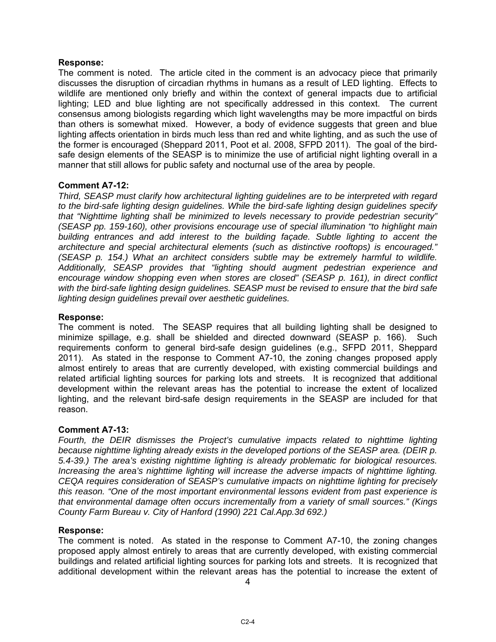## **Response:**

The comment is noted. The article cited in the comment is an advocacy piece that primarily discusses the disruption of circadian rhythms in humans as a result of LED lighting. Effects to wildlife are mentioned only briefly and within the context of general impacts due to artificial lighting; LED and blue lighting are not specifically addressed in this context. The current consensus among biologists regarding which light wavelengths may be more impactful on birds than others is somewhat mixed. However, a body of evidence suggests that green and blue lighting affects orientation in birds much less than red and white lighting, and as such the use of the former is encouraged (Sheppard 2011, Poot et al. 2008, SFPD 2011). The goal of the birdsafe design elements of the SEASP is to minimize the use of artificial night lighting overall in a manner that still allows for public safety and nocturnal use of the area by people.

## **Comment A7-12:**

*Third, SEASP must clarify how architectural lighting guidelines are to be interpreted with regard to the bird-safe lighting design guidelines. While the bird-safe lighting design guidelines specify that "Nighttime lighting shall be minimized to levels necessary to provide pedestrian security" (SEASP pp. 159-160), other provisions encourage use of special illumination "to highlight main building entrances and add interest to the building façade. Subtle lighting to accent the architecture and special architectural elements (such as distinctive rooftops) is encouraged." (SEASP p. 154.) What an architect considers subtle may be extremely harmful to wildlife. Additionally, SEASP provides that "lighting should augment pedestrian experience and encourage window shopping even when stores are closed" (SEASP p. 161), in direct conflict with the bird-safe lighting design guidelines. SEASP must be revised to ensure that the bird safe lighting design guidelines prevail over aesthetic guidelines.* 

## **Response:**

The comment is noted. The SEASP requires that all building lighting shall be designed to minimize spillage, e.g. shall be shielded and directed downward (SEASP p. 166). Such requirements conform to general bird-safe design guidelines (e.g., SFPD 2011, Sheppard 2011). As stated in the response to Comment A7-10, the zoning changes proposed apply almost entirely to areas that are currently developed, with existing commercial buildings and related artificial lighting sources for parking lots and streets. It is recognized that additional development within the relevant areas has the potential to increase the extent of localized lighting, and the relevant bird-safe design requirements in the SEASP are included for that reason.

### **Comment A7-13:**

*Fourth, the DEIR dismisses the Project's cumulative impacts related to nighttime lighting because nighttime lighting already exists in the developed portions of the SEASP area. (DEIR p. 5.4-39.) The area's existing nighttime lighting is already problematic for biological resources. Increasing the area's nighttime lighting will increase the adverse impacts of nighttime lighting. CEQA requires consideration of SEASP's cumulative impacts on nighttime lighting for precisely this reason. "One of the most important environmental lessons evident from past experience is that environmental damage often occurs incrementally from a variety of small sources." (Kings County Farm Bureau v. City of Hanford (1990) 221 Cal.App.3d 692.)* 

### **Response:**

The comment is noted. As stated in the response to Comment A7-10, the zoning changes proposed apply almost entirely to areas that are currently developed, with existing commercial buildings and related artificial lighting sources for parking lots and streets. It is recognized that additional development within the relevant areas has the potential to increase the extent of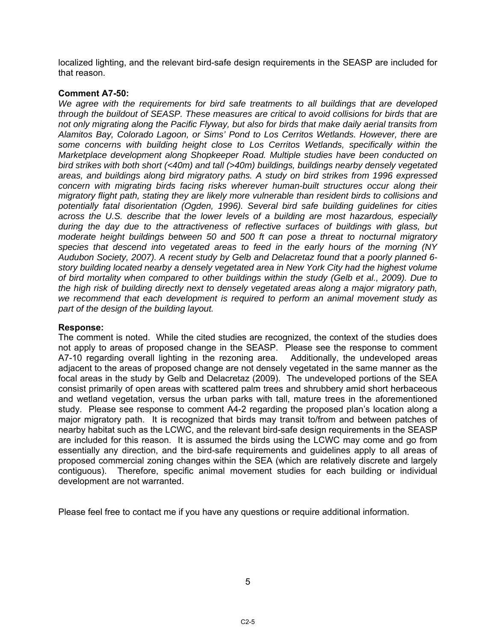localized lighting, and the relevant bird-safe design requirements in the SEASP are included for that reason.

## **Comment A7-50:**

*We agree with the requirements for bird safe treatments to all buildings that are developed through the buildout of SEASP. These measures are critical to avoid collisions for birds that are not only migrating along the Pacific Flyway, but also for birds that make daily aerial transits from Alamitos Bay, Colorado Lagoon, or Sims' Pond to Los Cerritos Wetlands. However, there are some concerns with building height close to Los Cerritos Wetlands, specifically within the Marketplace development along Shopkeeper Road. Multiple studies have been conducted on bird strikes with both short (<40m) and tall (>40m) buildings, buildings nearby densely vegetated areas, and buildings along bird migratory paths. A study on bird strikes from 1996 expressed concern with migrating birds facing risks wherever human-built structures occur along their migratory flight path, stating they are likely more vulnerable than resident birds to collisions and potentially fatal disorientation (Ogden, 1996). Several bird safe building guidelines for cities across the U.S. describe that the lower levels of a building are most hazardous, especially during the day due to the attractiveness of reflective surfaces of buildings with glass, but moderate height buildings between 50 and 500 ft can pose a threat to nocturnal migratory species that descend into vegetated areas to feed in the early hours of the morning (NY Audubon Society, 2007). A recent study by Gelb and Delacretaz found that a poorly planned 6 story building located nearby a densely vegetated area in New York City had the highest volume of bird mortality when compared to other buildings within the study (Gelb et al., 2009). Due to the high risk of building directly next to densely vegetated areas along a major migratory path, we recommend that each development is required to perform an animal movement study as part of the design of the building layout.* 

# **Response:**

The comment is noted. While the cited studies are recognized, the context of the studies does not apply to areas of proposed change in the SEASP. Please see the response to comment A7-10 regarding overall lighting in the rezoning area. Additionally, the undeveloped areas adjacent to the areas of proposed change are not densely vegetated in the same manner as the focal areas in the study by Gelb and Delacretaz (2009). The undeveloped portions of the SEA consist primarily of open areas with scattered palm trees and shrubbery amid short herbaceous and wetland vegetation, versus the urban parks with tall, mature trees in the aforementioned study. Please see response to comment A4-2 regarding the proposed plan's location along a major migratory path. It is recognized that birds may transit to/from and between patches of nearby habitat such as the LCWC, and the relevant bird-safe design requirements in the SEASP are included for this reason. It is assumed the birds using the LCWC may come and go from essentially any direction, and the bird-safe requirements and guidelines apply to all areas of proposed commercial zoning changes within the SEA (which are relatively discrete and largely contiguous). Therefore, specific animal movement studies for each building or individual development are not warranted.

Please feel free to contact me if you have any questions or require additional information.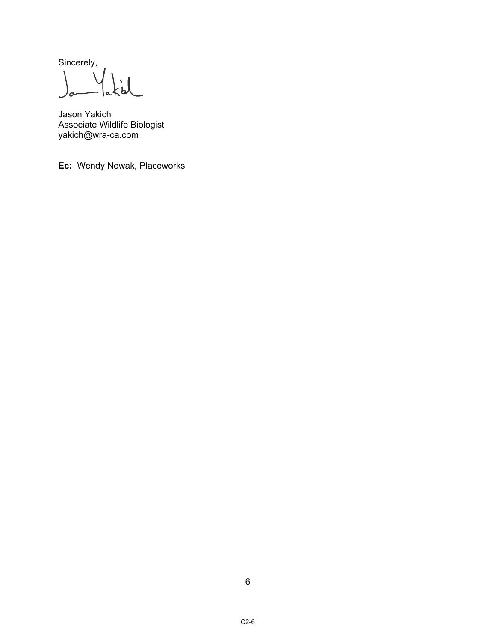Sincerely,  $\setminus$  $\overline{\phantom{0}}$  $\mathcal{L}_{\mathbf{a}}$ 

Jason Yakich Associate Wildlife Biologist yakich@wra-ca.com

**Ec:** Wendy Nowak, Placeworks